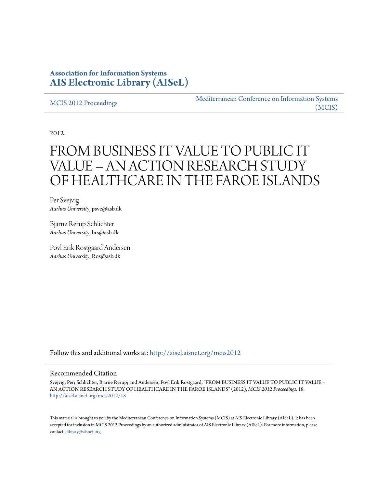# **Association for Information Systems [AIS Electronic Library \(AISeL\)](http://aisel.aisnet.org?utm_source=aisel.aisnet.org%2Fmcis2012%2F18&utm_medium=PDF&utm_campaign=PDFCoverPages)**

[MCIS 2012 Proceedings](http://aisel.aisnet.org/mcis2012?utm_source=aisel.aisnet.org%2Fmcis2012%2F18&utm_medium=PDF&utm_campaign=PDFCoverPages)

[Mediterranean Conference on Information Systems](http://aisel.aisnet.org/mcis?utm_source=aisel.aisnet.org%2Fmcis2012%2F18&utm_medium=PDF&utm_campaign=PDFCoverPages) [\(MCIS\)](http://aisel.aisnet.org/mcis?utm_source=aisel.aisnet.org%2Fmcis2012%2F18&utm_medium=PDF&utm_campaign=PDFCoverPages)

2012

# FROM BUSINESS IT VALUE TO PUBLIC IT VALUE – AN ACTION RESEARCH STUDY OF HEALTHCARE IN THE FAROE ISLANDS

Per Svejvig *Aarhus University*, psve@asb.dk

Bjarne Rerup Schlichter *Aarhus University*, brs@asb.dk

Povl Erik Rostgaard Andersen *Aarhus University*, Ros@asb.dk

Follow this and additional works at: [http://aisel.aisnet.org/mcis2012](http://aisel.aisnet.org/mcis2012?utm_source=aisel.aisnet.org%2Fmcis2012%2F18&utm_medium=PDF&utm_campaign=PDFCoverPages)

#### Recommended Citation

Svejvig, Per; Schlichter, Bjarne Rerup; and Andersen, Povl Erik Rostgaard, "FROM BUSINESS IT VALUE TO PUBLIC IT VALUE – AN ACTION RESEARCH STUDY OF HEALTHCARE IN THE FAROE ISLANDS" (2012). *MCIS 2012 Proceedings*. 18. [http://aisel.aisnet.org/mcis2012/18](http://aisel.aisnet.org/mcis2012/18?utm_source=aisel.aisnet.org%2Fmcis2012%2F18&utm_medium=PDF&utm_campaign=PDFCoverPages)

This material is brought to you by the Mediterranean Conference on Information Systems (MCIS) at AIS Electronic Library (AISeL). It has been accepted for inclusion in MCIS 2012 Proceedings by an authorized administrator of AIS Electronic Library (AISeL). For more information, please contact [elibrary@aisnet.org.](mailto:elibrary@aisnet.org%3E)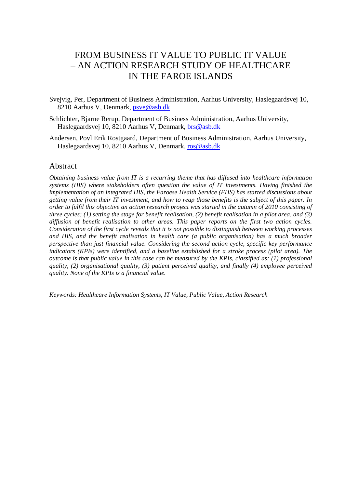# FROM BUSINESS IT VALUE TO PUBLIC IT VALUE – AN ACTION RESEARCH STUDY OF HEALTHCARE IN THE FAROE ISLANDS

- Svejvig, Per, Department of Business Administration, Aarhus University, Haslegaardsvej 10, 8210 Aarhus V, Denmark, psve@asb.dk
- Schlichter, Bjarne Rerup, Department of Business Administration, Aarhus University, Haslegaardsvej 10, 8210 Aarhus V, Denmark, brs@asb.dk
- Andersen, Povl Erik Rostgaard, Department of Business Administration, Aarhus University, Haslegaardsvej 10, 8210 Aarhus V, Denmark, ros@asb.dk

#### Abstract

*Obtaining business value from IT is a recurring theme that has diffused into healthcare information systems (HIS) where stakeholders often question the value of IT investments. Having finished the implementation of an integrated HIS, the Faroese Health Service (FHS) has started discussions about getting value from their IT investment, and how to reap those benefits is the subject of this paper. In order to fulfil this objective an action research project was started in the autumn of 2010 consisting of three cycles: (1) setting the stage for benefit realisation, (2) benefit realisation in a pilot area, and (3) diffusion of benefit realisation to other areas. This paper reports on the first two action cycles. Consideration of the first cycle reveals that it is not possible to distinguish between working processes and HIS, and the benefit realisation in health care (a public organisation) has a much broader perspective than just financial value. Considering the second action cycle, specific key performance indicators (KPIs) were identified, and a baseline established for a stroke process (pilot area). The outcome is that public value in this case can be measured by the KPIs, classified as: (1) professional quality, (2) organisational quality, (3) patient perceived quality, and finally (4) employee perceived quality. None of the KPIs is a financial value.* 

*Keywords: Healthcare Information Systems, IT Value, Public Value, Action Research*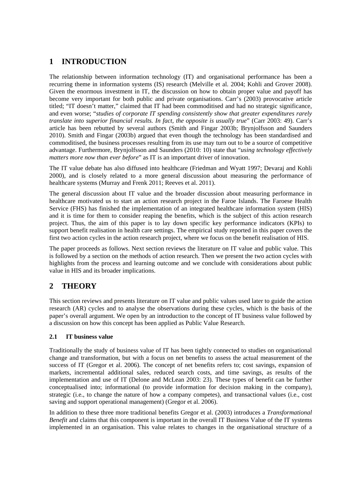# **1 INTRODUCTION**

The relationship between information technology (IT) and organisational performance has been a recurring theme in information systems (IS) research (Melville et al. 2004; Kohli and Grover 2008). Given the enormous investment in IT, the discussion on how to obtain proper value and payoff has become very important for both public and private organisations. Carr's (2003) provocative article titled; "IT doesn't matter," claimed that IT had been commoditised and had no strategic significance, and even worse; "*studies of corporate IT spending consistently show that greater expenditures rarely translate into superior financial results. In fact, the opposite is usually true*" (Carr 2003: 49). Carr's article has been rebutted by several authors (Smith and Fingar 2003b; Brynjolfsson and Saunders 2010). Smith and Fingar (2003b) argued that even though the technology has been standardised and commoditised, the business processes resulting from its use may turn out to be a source of competitive advantage. Furthermore, Brynjolfsson and Saunders (2010: 10) state that "*using technology effectively matters more now than ever before*" as IT is an important driver of innovation.

The IT value debate has also diffused into healthcare (Friedman and Wyatt 1997; Devaraj and Kohli 2000), and is closely related to a more general discussion about measuring the performance of healthcare systems (Murray and Frenk 2011; Reeves et al. 2011).

The general discussion about IT value and the broader discussion about measuring performance in healthcare motivated us to start an action research project in the Faroe Islands. The Faroese Health Service (FHS) has finished the implementation of an integrated healthcare information system (HIS) and it is time for them to consider reaping the benefits, which is the subject of this action research project. Thus, the aim of this paper is to lay down specific key performance indicators (KPIs) to support benefit realisation in health care settings. The empirical study reported in this paper covers the first two action cycles in the action research project, where we focus on the benefit realisation of HIS.

The paper proceeds as follows. Next section reviews the literature on IT value and public value. This is followed by a section on the methods of action research. Then we present the two action cycles with highlights from the process and learning outcome and we conclude with considerations about public value in HIS and its broader implications.

# **2 THEORY**

This section reviews and presents literature on IT value and public values used later to guide the action research (AR) cycles and to analyse the observations during these cycles, which is the basis of the paper's overall argument. We open by an introduction to the concept of IT business value followed by a discussion on how this concept has been applied as Public Value Research.

#### **2.1 IT business value**

Traditionally the study of business value of IT has been tightly connected to studies on organisational change and transformation, but with a focus on net benefits to assess the actual measurement of the success of IT (Gregor et al. 2006). The concept of net benefits refers to; cost savings, expansion of markets, incremental additional sales, reduced search costs, and time savings, as results of the implementation and use of IT (Delone and McLean 2003: 23). These types of benefit can be further conceptualised into; informational (to provide information for decision making in the company), strategic (i.e., to change the nature of how a company competes), and transactional values (i.e., cost saving and support operational management) (Gregor et al. 2006).

In addition to these three more traditional benefits Gregor et al. (2003) introduces a *Transformational Benefit* and claims that this component is important in the overall IT Business Value of the IT systems implemented in an organisation. This value relates to changes in the organisational structure of a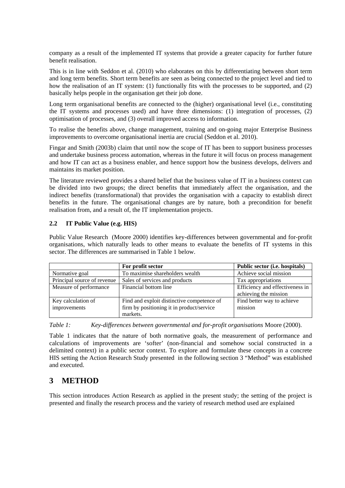company as a result of the implemented IT systems that provide a greater capacity for further future benefit realisation.

This is in line with Seddon et al. (2010) who elaborates on this by differentiating between short term and long term benefits. Short term benefits are seen as being connected to the project level and tied to how the realisation of an IT system: (1) functionally fits with the processes to be supported, and (2) basically helps people in the organisation get their job done.

Long term organisational benefits are connected to the (higher) organisational level (i.e., constituting the IT systems and processes used) and have three dimensions: (1) integration of processes, (2) optimisation of processes, and (3) overall improved access to information.

To realise the benefits above, change management, training and on-going major Enterprise Business improvements to overcome organisational inertia are crucial (Seddon et al. 2010).

Fingar and Smith (2003b) claim that until now the scope of IT has been to support business processes and undertake business process automation, whereas in the future it will focus on process management and how IT can act as a business enabler, and hence support how the business develops, delivers and maintains its market position.

The literature reviewed provides a shared belief that the business value of IT in a business context can be divided into two groups; the direct benefits that immediately affect the organisation, and the indirect benefits (transformational) that provides the organisation with a capacity to establish direct benefits in the future. The organisational changes are by nature, both a precondition for benefit realisation from, and a result of, the IT implementation projects.

#### **2.2 IT Public Value (e.g. HIS)**

Public Value Research (Moore 2000) identifies key-differences between governmental and for-profit organisations, which naturally leads to other means to evaluate the benefits of IT systems in this sector. The differences are summarised in Table 1 below.

|                             | For profit sector                          | Public sector (i.e. hospitals)  |
|-----------------------------|--------------------------------------------|---------------------------------|
| Normative goal              | To maximise shareholders wealth            | Achieve social mission          |
| Principal source of revenue | Sales of services and products             | Tax appropriations              |
| Measure of performance      | Financial bottom line                      | Efficiency and effectiveness in |
|                             |                                            | achieving the mission           |
| Key calculation of          | Find and exploit distinctive competence of | Find better way to achieve      |
| improvements                | firm by positioning it in product/service  | mission                         |
|                             | markets.                                   |                                 |

*Table 1: Key-differences between governmental and for-profit organisations* Moore (2000).

Table 1 indicates that the nature of both normative goals, the measurement of performance and calculations of improvements are 'softer' (non-financial and somehow social constructed in a delimited context) in a public sector context. To explore and formulate these concepts in a concrete HIS setting the Action Research Study presented in the following section 3 "Method" was established and executed.

# **3 METHOD**

This section introduces Action Research as applied in the present study; the setting of the project is presented and finally the research process and the variety of research method used are explained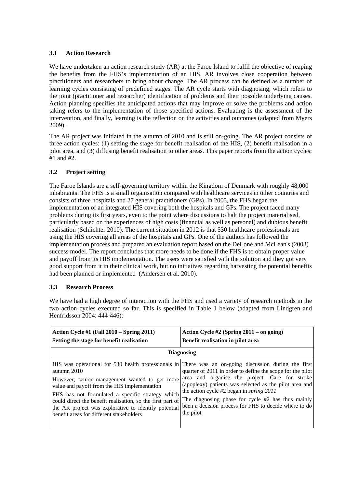#### **3.1 Action Research**

We have undertaken an action research study (AR) at the Faroe Island to fulfil the objective of reaping the benefits from the FHS's implementation of an HIS. AR involves close cooperation between practitioners and researchers to bring about change. The AR process can be defined as a number of learning cycles consisting of predefined stages. The AR cycle starts with diagnosing, which refers to the joint (practitioner and researcher) identification of problems and their possible underlying causes. Action planning specifies the anticipated actions that may improve or solve the problems and action taking refers to the implementation of those specified actions. Evaluating is the assessment of the intervention, and finally, learning is the reflection on the activities and outcomes (adapted from Myers 2009).

The AR project was initiated in the autumn of 2010 and is still on-going. The AR project consists of three action cycles: (1) setting the stage for benefit realisation of the HIS, (2) benefit realisation in a pilot area, and (3) diffusing benefit realisation to other areas. This paper reports from the action cycles; #1 and #2.

#### **3.2 Project setting**

The Faroe Islands are a self-governing territory within the Kingdom of Denmark with roughly 48,000 inhabitants. The FHS is a small organisation compared with healthcare services in other countries and consists of three hospitals and 27 general practitioners (GPs). In 2005, the FHS began the implementation of an integrated HIS covering both the hospitals and GPs. The project faced many problems during its first years, even to the point where discussions to halt the project materialised, particularly based on the experiences of high costs (financial as well as personal) and dubious benefit realisation (Schlichter 2010). The current situation in 2012 is that 530 healthcare professionals are using the HIS covering all areas of the hospitals and GPs. One of the authors has followed the implementation process and prepared an evaluation report based on the DeLone and McLean's (2003) success model. The report concludes that more needs to be done if the FHS is to obtain proper value and payoff from its HIS implementation. The users were satisfied with the solution and they got very good support from it in their clinical work, but no initiatives regarding harvesting the potential benefits had been planned or implemented (Andersen et al. 2010).

#### **3.3 Research Process**

We have had a high degree of interaction with the FHS and used a variety of research methods in the two action cycles executed so far. This is specified in Table 1 below (adapted from Lindgren and Henfridsson 2004: 444-446):

| Action Cycle #1 (Fall $2010 -$ Spring 2011)<br>Setting the stage for benefit realisation                                                                    | Action Cycle #2 (Spring $2011 -$ on going)<br>Benefit realisation in pilot area                                                                                                                                                                                                                                                                                                                                                                                                                                                                                                                                               |  |  |  |
|-------------------------------------------------------------------------------------------------------------------------------------------------------------|-------------------------------------------------------------------------------------------------------------------------------------------------------------------------------------------------------------------------------------------------------------------------------------------------------------------------------------------------------------------------------------------------------------------------------------------------------------------------------------------------------------------------------------------------------------------------------------------------------------------------------|--|--|--|
| <b>Diagnosing</b>                                                                                                                                           |                                                                                                                                                                                                                                                                                                                                                                                                                                                                                                                                                                                                                               |  |  |  |
| autumn 2010<br>value and payoff from the HIS implementation<br>FHS has not formulated a specific strategy which<br>benefit areas for different stakeholders | HIS was operational for 530 health professionals in There was an on-going discussion during the first<br>quarter of 2011 in order to define the scope for the pilot<br>However, senior management wanted to get more area and organise the project. Care for stroke<br>(apoplexy) patients was selected as the pilot area and<br>the action cycle #2 began in <i>spring</i> $2011$<br>could direct the benefit realisation, so the first part of The diagnosing phase for cycle #2 has thus mainly<br>the AR project was explorative to identify potential been a decision process for FHS to decide where to do<br>the pilot |  |  |  |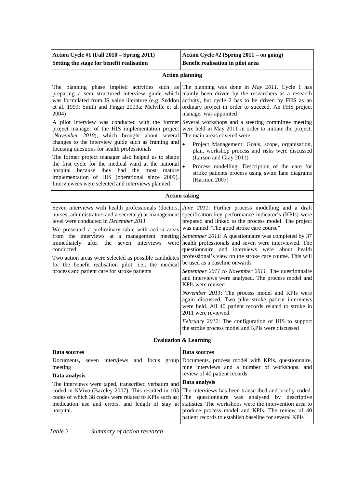| Action Cycle #1 (Fall 2010 - Spring 2011)<br>Setting the stage for benefit realisation                                                                                                                                                                                                                                                                                                                                                                                                               | Action Cycle #2 (Spring 2011 – on going)<br>Benefit realisation in pilot area                                                                                                                                                                                                                                                                                                                                                                                                                                                                                                                                                                                                                                                                                                                                                                                                                                         |  |  |  |
|------------------------------------------------------------------------------------------------------------------------------------------------------------------------------------------------------------------------------------------------------------------------------------------------------------------------------------------------------------------------------------------------------------------------------------------------------------------------------------------------------|-----------------------------------------------------------------------------------------------------------------------------------------------------------------------------------------------------------------------------------------------------------------------------------------------------------------------------------------------------------------------------------------------------------------------------------------------------------------------------------------------------------------------------------------------------------------------------------------------------------------------------------------------------------------------------------------------------------------------------------------------------------------------------------------------------------------------------------------------------------------------------------------------------------------------|--|--|--|
| <b>Action planning</b>                                                                                                                                                                                                                                                                                                                                                                                                                                                                               |                                                                                                                                                                                                                                                                                                                                                                                                                                                                                                                                                                                                                                                                                                                                                                                                                                                                                                                       |  |  |  |
| preparing a semi-structured interview guide which<br>was formulated from IS value literature (e.g. Seddon<br>et al. 1999; Smith and Fingar 2003a; Melville et al.<br>2004)                                                                                                                                                                                                                                                                                                                           | The planning phase implied activities such as The planning was done in May 2011. Cycle 1 has<br>mainly been driven by the researchers as a research<br>activity, but cycle 2 has to be driven by FHS as an<br>ordinary project in order to succeed. An FHS project<br>manager was appointed                                                                                                                                                                                                                                                                                                                                                                                                                                                                                                                                                                                                                           |  |  |  |
| project manager of the HIS implementation project<br>(November 2010), which brought about several<br>changes to the interview guide such as framing and                                                                                                                                                                                                                                                                                                                                              | A pilot interview was conducted with the former Several workshops and a steering committee meeting<br>were held in May 2011 in order to initiate the project.<br>The main areas covered were:                                                                                                                                                                                                                                                                                                                                                                                                                                                                                                                                                                                                                                                                                                                         |  |  |  |
| focusing questions for health professionals<br>The former project manager also helped us to shape                                                                                                                                                                                                                                                                                                                                                                                                    | $\bullet$<br>Project Management: Goals, scope, organisation,<br>plan, workshop process and risks were discussed<br>(Larson and Gray 2011)                                                                                                                                                                                                                                                                                                                                                                                                                                                                                                                                                                                                                                                                                                                                                                             |  |  |  |
| the first cycle for the medical ward at the national<br>hospital because<br>they had the most<br>mature<br>implementation of HIS (operational since 2009).<br>Interviewees were selected and interviews planned                                                                                                                                                                                                                                                                                      | $\bullet$<br>Process modelling: Description of the care for<br>stroke patients process using swim lane diagrams<br>(Harmon 2007)                                                                                                                                                                                                                                                                                                                                                                                                                                                                                                                                                                                                                                                                                                                                                                                      |  |  |  |
|                                                                                                                                                                                                                                                                                                                                                                                                                                                                                                      | <b>Action taking</b>                                                                                                                                                                                                                                                                                                                                                                                                                                                                                                                                                                                                                                                                                                                                                                                                                                                                                                  |  |  |  |
| Seven interviews with health professionals (doctors,<br>nurses, administrators and a secretary) at management<br>level were conducted in December 2011<br>We presented a preliminary table with action areas<br>from the interviews at a management meeting<br>after the<br>interviews<br>immediately<br>seven<br>were<br>conducted<br>Two action areas were selected as possible candidates<br>for the benefit realisation pilot, i.e., the medical<br>process and patient care for stroke patients | June 2011: Further process modelling and a draft<br>specification key performance indicator's (KPIs) were<br>prepared and linked to the process model. The project<br>was named "The good stroke care course"<br>September 2011: A questionnaire was completed by 37<br>health professionals and seven were interviewed. The<br>questionnaire and interviews were<br>about health<br>professional's view on the stroke care course. This will<br>be used as a baseline onwards<br>September 2011 to November 2011: The questionnaire<br>and interviews were analysed. The process model and<br>KPIs were revised<br>November 2011: The process model and KPIs were<br>again discussed. Two pilot stroke patient interviews<br>were held. All 40 patient records related to stroke in<br>2011 were reviewed.<br>February 2012: The configuration of HIS to support<br>the stroke process model and KPIs were discussed |  |  |  |
|                                                                                                                                                                                                                                                                                                                                                                                                                                                                                                      | <b>Evaluation &amp; Learning</b>                                                                                                                                                                                                                                                                                                                                                                                                                                                                                                                                                                                                                                                                                                                                                                                                                                                                                      |  |  |  |
| Data sources                                                                                                                                                                                                                                                                                                                                                                                                                                                                                         | Data sources                                                                                                                                                                                                                                                                                                                                                                                                                                                                                                                                                                                                                                                                                                                                                                                                                                                                                                          |  |  |  |
| seven interviews and focus<br>Documents,<br>meeting                                                                                                                                                                                                                                                                                                                                                                                                                                                  | group Documents, process model with KPIs, questionnaire,<br>nine interviews and a number of workshops, and<br>review of 40 patient records                                                                                                                                                                                                                                                                                                                                                                                                                                                                                                                                                                                                                                                                                                                                                                            |  |  |  |
| Data analysis<br>The interviews were taped, transcribed verbatim and                                                                                                                                                                                                                                                                                                                                                                                                                                 | Data analysis                                                                                                                                                                                                                                                                                                                                                                                                                                                                                                                                                                                                                                                                                                                                                                                                                                                                                                         |  |  |  |
| coded in NVivo (Bazeley 2007). This resulted in 103<br>codes of which 38 codes were related to KPIs such as;<br>medication use and errors, and length of stay at<br>hospital.                                                                                                                                                                                                                                                                                                                        | The interviews has been transcribed and briefly coded.<br>The questionnaire was analysed by descriptive<br>statistics. The workshops were the intervention area to<br>produce process model and KPIs. The review of 40<br>patient records to establish baseline for several KPIs                                                                                                                                                                                                                                                                                                                                                                                                                                                                                                                                                                                                                                      |  |  |  |

*Table 2. Summary of action research*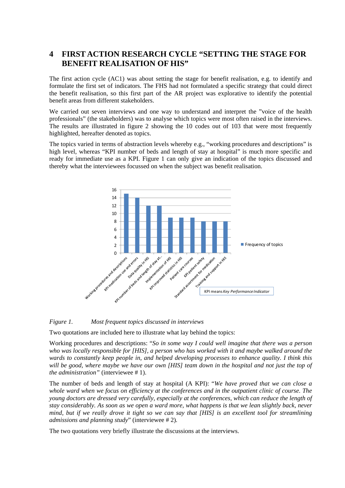# **4 FIRST ACTION RESEARCH CYCLE "SETTING THE STAGE FOR BENEFIT REALISATION OF HIS"**

The first action cycle (AC1) was about setting the stage for benefit realisation, e.g. to identify and formulate the first set of indicators. The FHS had not formulated a specific strategy that could direct the benefit realisation, so this first part of the AR project was explorative to identify the potential benefit areas from different stakeholders.

We carried out seven interviews and one way to understand and interpret the "voice of the health professionals" (the stakeholders) was to analyse which topics were most often raised in the interviews. The results are illustrated in figure 2 showing the 10 codes out of 103 that were most frequently highlighted, hereafter denoted as topics.

The topics varied in terms of abstraction levels whereby e.g., "working procedures and descriptions" is high level, whereas "KPI number of beds and length of stay at hospital" is much more specific and ready for immediate use as a KPI. Figure 1 can only give an indication of the topics discussed and thereby what the interviewees focussed on when the subject was benefit realisation.



#### *Figure 1. Most frequent topics discussed in interviews*

Two quotations are included here to illustrate what lay behind the topics:

Working procedures and descriptions: "*So in some way I could well imagine that there was a person who was locally responsible for [HIS], a person who has worked with it and maybe walked around the wards to constantly keep people in, and helped developing processes to enhance quality. I think this*  will be good, where maybe we have our own *[HIS] team down in the hospital and not just the top of the administration"* (interviewee # 1).

The number of beds and length of stay at hospital (A KPI): "*We have proved that we can close a whole ward when we focus on efficiency at the conferences and in the outpatient clinic of course. The young doctors are dressed very carefully, especially at the conferences, which can reduce the length of stay considerably. As soon as we open a ward more, what happens is that we lean slightly back, never mind, but if we really drove it tight so we can say that [HIS] is an excellent tool for streamlining admissions and planning study*" (interviewee # 2)*.*

The two quotations very briefly illustrate the discussions at the interviews.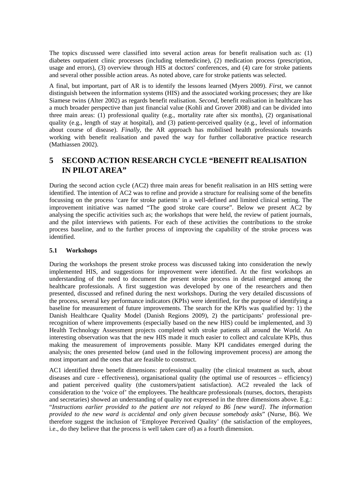The topics discussed were classified into several action areas for benefit realisation such as: (1) diabetes outpatient clinic processes (including telemedicine), (2) medication process (prescription, usage and errors), (3) overview through HIS at doctors' conferences, and (4) care for stroke patients and several other possible action areas. As noted above, care for stroke patients was selected.

A final, but important, part of AR is to identify the lessons learned (Myers 2009). *First*, we cannot distinguish between the information systems (HIS) and the associated working processes; they are like Siamese twins (Alter 2002) as regards benefit realisation. *Second*, benefit realisation in healthcare has a much broader perspective than just financial value (Kohli and Grover 2008) and can be divided into three main areas: (1) professional quality (e.g., mortality rate after six months), (2) organisational quality (e.g., length of stay at hospital), and (3) patient-perceived quality (e.g., level of information about course of disease). *Finally*, the AR approach has mobilised health professionals towards working with benefit realisation and paved the way for further collaborative practice research (Mathiassen 2002).

# **5 SECOND ACTION RESEARCH CYCLE "BENEFIT REALISATION IN PILOT AREA"**

During the second action cycle (AC2) three main areas for benefit realisation in an HIS setting were identified. The intention of AC2 was to refine and provide a structure for realising some of the benefits focussing on the process 'care for stroke patients' in a well-defined and limited clinical setting. The improvement initiative was named "The good stroke care course". Below we present AC2 by analysing the specific activities such as; the workshops that were held, the review of patient journals, and the pilot interviews with patients. For each of these activities the contributions to the stroke process baseline, and to the further process of improving the capability of the stroke process was identified.

#### **5.1 Workshops**

During the workshops the present stroke process was discussed taking into consideration the newly implemented HIS, and suggestions for improvement were identified. At the first workshops an understanding of the need to document the present stroke process in detail emerged among the healthcare professionals. A first suggestion was developed by one of the researchers and then presented, discussed and refined during the next workshops. During the very detailed discussions of the process, several key performance indicators (KPIs) were identified, for the purpose of identifying a baseline for measurement of future improvements. The search for the KPIs was qualified by: 1) the Danish Healthcare Quality Model (Danish Regions 2009), 2) the participants' professional prerecognition of where improvements (especially based on the new HIS) could be implemented, and 3) Health Technology Assessment projects completed with stroke patients all around the World. An interesting observation was that the new HIS made it much easier to collect and calculate KPIs, thus making the measurement of improvements possible. Many KPI candidates emerged during the analysis; the ones presented below (and used in the following improvement process) are among the most important and the ones that are feasible to construct.

AC1 identified three benefit dimensions: professional quality (the clinical treatment as such, about diseases and cure - effectiveness), organisational quality (the optimal use of resources – efficiency) and patient perceived quality (the customers/patient satisfaction). AC2 revealed the lack of consideration to the 'voice of' the employees. The healthcare professionals (nurses, doctors, therapists and secretaries) showed an understanding of quality not expressed in the three dimensions above. E.g.: "*Instructions earlier provided to the patient are not relayed to B6 [new ward]. The information provided to the new ward is accidental and only given because somebody asks*" (Nurse, B6). We therefore suggest the inclusion of 'Employee Perceived Quality' (the satisfaction of the employees, i.e., do they believe that the process is well taken care of) as a fourth dimension.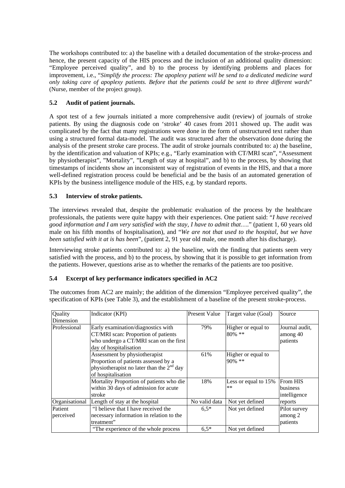The workshops contributed to: a) the baseline with a detailed documentation of the stroke-process and hence, the present capacity of the HIS process and the inclusion of an additional quality dimension: "Employee perceived quality", and b) to the process by identifying problems and places for improvement, i.e., "*Simplify the process: The apoplexy patient will be send to a dedicated medicine ward only taking care of apoplexy patients. Before that the patients could be sent to three different wards*" (Nurse, member of the project group).

#### **5.2 Audit of patient journals.**

A spot test of a few journals initiated a more comprehensive audit (review) of journals of stroke patients. By using the diagnosis code on 'stroke' 40 cases from 2011 showed up. The audit was complicated by the fact that many registrations were done in the form of unstructured text rather than using a structured formal data-model. The audit was structured after the observation done during the analysis of the present stroke care process. The audit of stroke journals contributed to: a) the baseline, by the identification and valuation of KPIs; e.g., "Early examination with CT/MRI scan", "Assessment by physiotherapist", "Mortality", "Length of stay at hospital", and b) to the process, by showing that timestamps of incidents show an inconsistent way of registration of events in the HIS, and that a more well-defined registration process could be beneficial and be the basis of an automated generation of KPIs by the business intelligence module of the HIS, e.g. by standard reports.

#### **5.3 Interview of stroke patients.**

The interviews revealed that, despite the problematic evaluation of the process by the healthcare professionals, the patients were quite happy with their experiences. One patient said: "*I have received good information and I am very satisfied with the stay, I have to admit that*…." (patient 1, 60 years old male on his fifth months of hospitalisation), and "*We are not that used to the hospital, but we have been satisfied with it at is has been*", (patient 2, 91 year old male, one month after his discharge).

Interviewing stroke patients contributed to: a) the baseline, with the finding that patients seem very satisfied with the process, and b) to the process, by showing that it is possible to get information from the patients. However, questions arise as to whether the remarks of the patients are too positive.

#### **5.4 Excerpt of key performance indicators specified in AC2**

The outcomes from AC2 are mainly; the addition of the dimension "Employee perceived quality", the specification of KPIs (see Table 3), and the establishment of a baseline of the present stroke-process.

| Quality        | Indicator (KPI)                                                                                                                               | <b>Present Value</b> | Target value (Goal)          | Source                                 |
|----------------|-----------------------------------------------------------------------------------------------------------------------------------------------|----------------------|------------------------------|----------------------------------------|
| Dimension      |                                                                                                                                               |                      |                              |                                        |
| Professional   | Early examination/diagnostics with<br>CT/MRI scan: Proportion of patients<br>who undergo a CT/MRI scan on the first<br>day of hospitalisation | 79%                  | Higher or equal to<br>80% ** | Journal audit,<br>among 40<br>patients |
|                | Assessment by physiotherapist<br>Proportion of patients assessed by a<br>physiotherapist no later than the $2nd$ day<br>of hospitalisation    | 61%                  | Higher or equal to<br>90% ** |                                        |
|                | Mortality Proportion of patients who die<br>within 30 days of admission for acute<br>stroke                                                   | 18%                  | Less or equal to 15%<br>$**$ | From HIS<br>business<br>intelligence   |
| Organisational | Length of stay at the hospital                                                                                                                | No valid data        | Not yet defined              | reports                                |
| Patient        | "I believe that I have received the                                                                                                           | $6.5*$               | Not yet defined              | Pilot survey                           |
| perceived      | necessary information in relation to the<br>treatment"                                                                                        |                      |                              | among 2<br>patients                    |
|                | "The experience of the whole process"                                                                                                         | $6,5*$               | Not yet defined              |                                        |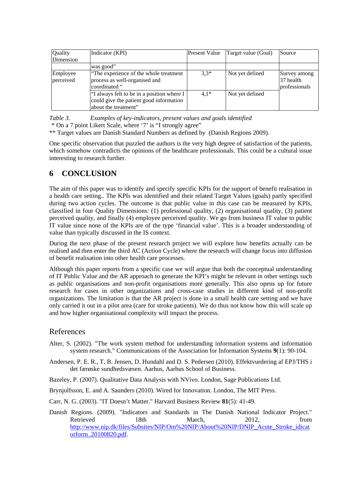| <b>Quality</b>        | Indicator (KPI)                                                                                               | <b>Present Value</b> | Target value (Goal) | Source                                     |
|-----------------------|---------------------------------------------------------------------------------------------------------------|----------------------|---------------------|--------------------------------------------|
| Dimension             |                                                                                                               |                      |                     |                                            |
|                       | was good"                                                                                                     |                      |                     |                                            |
| Employee<br>perceived | "The experience of the whole treatment"<br>process as well-organised and<br>coordinated "                     | $3,3*$               | Not yet defined     | Survey among<br>37 health<br>professionals |
|                       | "I always felt to be in a position where I<br>could give the patient good information<br>about the treatment" | $4.1*$               | Not yet defined     |                                            |

*Table 3. Examples of key-indicators, present values and goals identified* 

\* On a 7 point Likert Scale, where '7' is "I strongly agree"

\*\* Target values are Danish Standard Numbers as defined by (Danish Regions 2009).

One specific observation that puzzled the authors is the very high degree of satisfaction of the patients, which somehow contradicts the opinions of the healthcare professionals. This could be a cultural issue interesting to research further.

### **6 CONCLUSION**

The aim of this paper was to identify and specify specific KPIs for the support of benefit realisation in a health care setting.. The KPIs was identified and their related Target Values (goals) partly specified during two action cycles. The outcome is that public value in this case can be measured by KPIs, classified in four Quality Dimensions: (1) professional quality, (2) organisational quality, (3) patient perceived quality, and finally (4) employee perceived quality. We go from business IT value to public IT value since none of the KPIs are of the type 'financial value'. This is a broader understanding of value than typically discussed in the IS context.

During the next phase of the present research project we will explore how benefits actually can be realised and then enter the third AC (Action Cycle) where the research will change focus into diffusion of benefit realisation into other health care processes.

Although this paper reports from a specific case we will argue that both the conceptual understanding of IT Public Value and the AR approach to generate the KPI's might be relevant in other settings such as public organisations and non-profit organisations more generally. This also opens up for future research for cases in other organizations and cross-case studies in different kind of non-profit organizations. The limitation is that the AR project is done in a small health care setting and we have only carried it out in a pilot area (care for stroke patients). We do thus not know how this will scale up and how higher organisational complexity will impact the process.

#### References

- Alter, S. (2002). "The work system method for understanding information systems and information system research." Communications of the Association for Information Systems **9**(1): 90-104.
- Andersen, P. E. R., T. B. Jensen, D. Hundahl and D. S. Pedersen (2010). Effektvurdering af EPJ/THS i det færøske sundhedsvæsen. Aarhus, Aarhus School of Business.
- Bazeley, P. (2007). Qualitative Data Analysis with NVivo. London, Sage Publications Ltd.

Brynjolfsson, E. and A. Saunders (2010). Wired for Innovation. London, The MIT Press.

- Carr, N. G. (2003). "IT Doesn't Matter." Harvard Business Review **81**(5): 41-49.
- Danish Regions. (2009). "Indicators and Standards in The Danish National Indicator Project." Retrieved 18th March, 2012, from http://www.nip.dk/files/Subsites/NIP/Om%20NIP/About%20NIP/DNIP\_Acute\_Stroke\_idicat orform\_20100820.pdf.